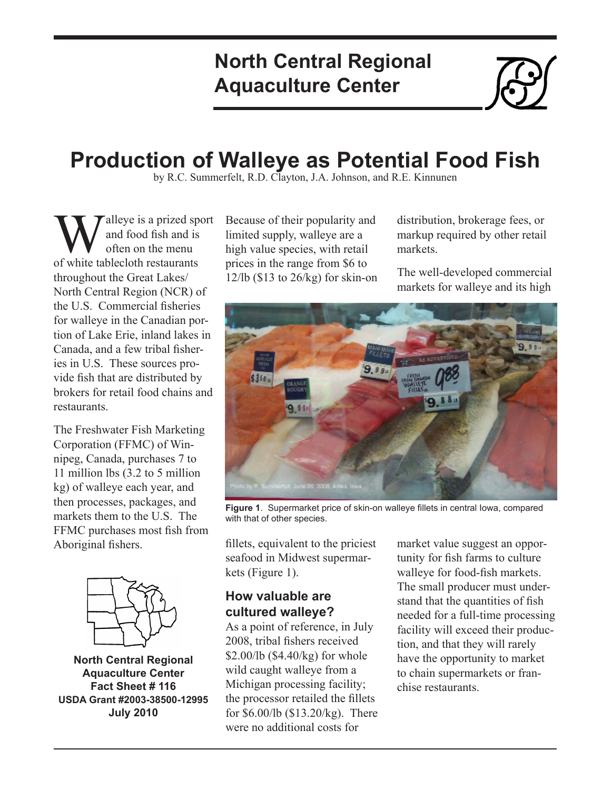## **North Central Regional Aquaculture Center**



# **Production of Walleye as Potential Food Fish**

by R.C. Summerfelt, R.D. Clayton, J.A. Johnson, and R.E. Kinnunen

**W**<br>
and food fish and is<br>
of white tablecloth restaurants and food fish and is often on the menu throughout the Great Lakes/ North Central Region (NCR) of the U.S. Commercial fisheries for walleye in the Canadian portion of Lake Erie, inland lakes in Canada, and a few tribal fisheries in U.S. These sources provide fish that are distributed by brokers for retail food chains and restaurants.

The Freshwater Fish Marketing Corporation (FFMC) of Winnipeg, Canada, purchases 7 to 11 million lbs (3.2 to 5 million kg) of walleye each year, and then processes, packages, and markets them to the U.S. The FFMC purchases most fish from Aboriginal fishers.



**North Central Regional Aquaculture Center Fact Sheet # 116 USDA Grant #2003-38500-12995 July 2010**

Because of their popularity and limited supply, walleye are a high value species, with retail prices in the range from \$6 to  $12$ /lb (\$13 to  $26$ /kg) for skin-on distribution, brokerage fees, or markup required by other retail markets.

The well-developed commercial markets for walleye and its high



**Figure 1**. Supermarket price of skin-on walleye fillets in central Iowa, compared with that of other species.

fillets, equivalent to the priciest seafood in Midwest supermarkets (Figure 1).

## **How valuable are cultured walleye?**

As a point of reference, in July 2008, tribal fishers received \$2.00/lb (\$4.40/kg) for whole wild caught walleye from a Michigan processing facility; the processor retailed the fillets for \$6.00/lb (\$13.20/kg). There were no additional costs for

market value suggest an opportunity for fish farms to culture walleye for food-fish markets. The small producer must understand that the quantities of fish needed for a full-time processing facility will exceed their production, and that they will rarely have the opportunity to market to chain supermarkets or franchise restaurants.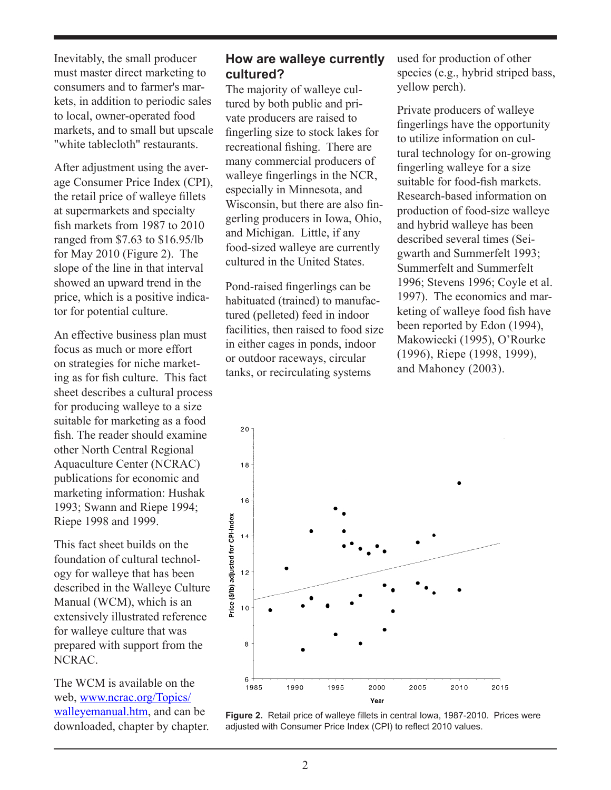Inevitably, the small producer must master direct marketing to consumers and to farmer's markets, in addition to periodic sales to local, owner-operated food markets, and to small but upscale "white tablecloth" restaurants.

After adjustment using the average Consumer Price Index (CPI), the retail price of walleye fillets at supermarkets and specialty fish markets from 1987 to 2010 ranged from \$7.63 to \$16.95/lb for May 2010 (Figure 2). The slope of the line in that interval showed an upward trend in the price, which is a positive indicator for potential culture.

An effective business plan must focus as much or more effort on strategies for niche marketing as for fish culture. This fact sheet describes a cultural process for producing walleye to a size suitable for marketing as a food fish. The reader should examine other North Central Regional Aquaculture Center (NCRAC) publications for economic and marketing information: Hushak 1993; Swann and Riepe 1994; Riepe 1998 and 1999.

This fact sheet builds on the foundation of cultural technology for walleye that has been described in the Walleye Culture Manual (WCM), which is an extensively illustrated reference for walleye culture that was prepared with support from the NCRAC.

The WCM is available on the web, [www.ncrac.org/Topics/](http://www.ncrac.org/Topics/walleyemanual.htm) [walleyemanual.htm](http://www.ncrac.org/Topics/walleyemanual.htm), and can be downloaded, chapter by chapter.

#### **How are walleye currently cultured?**

The majority of walleye cultured by both public and private producers are raised to fingerling size to stock lakes for recreational fishing. There are many commercial producers of walleye fingerlings in the NCR, especially in Minnesota, and Wisconsin, but there are also fingerling producers in Iowa, Ohio, and Michigan. Little, if any food-sized walleye are currently cultured in the United States.

Pond-raised fingerlings can be habituated (trained) to manufactured (pelleted) feed in indoor facilities, then raised to food size in either cages in ponds, indoor or outdoor raceways, circular tanks, or recirculating systems

used for production of other species (e.g., hybrid striped bass, yellow perch).

Private producers of walleye fingerlings have the opportunity to utilize information on cultural technology for on-growing fingerling walleye for a size suitable for food-fish markets. Research-based information on production of food-size walleye and hybrid walleye has been described several times (Seigwarth and Summerfelt 1993; Summerfelt and Summerfelt 1996; Stevens 1996; Coyle et al. 1997). The economics and marketing of walleye food fish have been reported by Edon (1994), Makowiecki (1995), O'Rourke (1996), Riepe (1998, 1999), and Mahoney (2003).



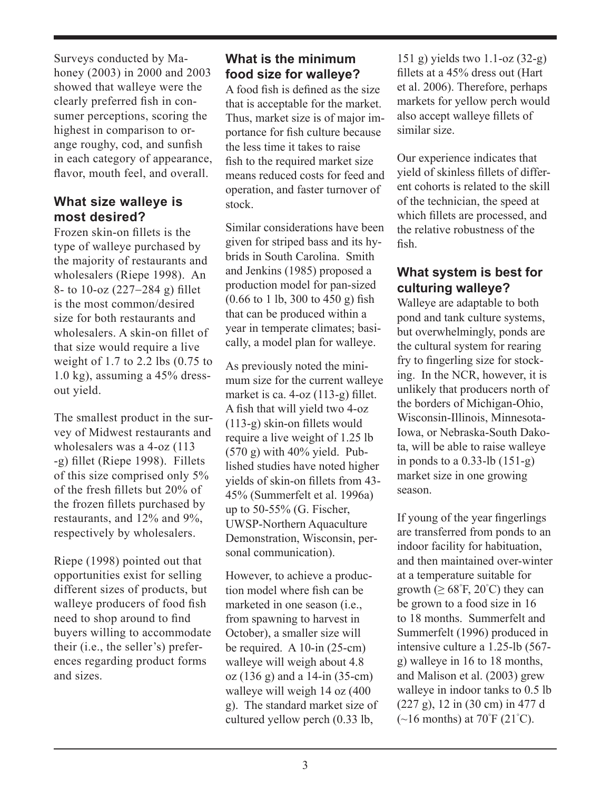Surveys conducted by Mahoney (2003) in 2000 and 2003 showed that walleye were the clearly preferred fish in consumer perceptions, scoring the highest in comparison to orange roughy, cod, and sunfish in each category of appearance, flavor, mouth feel, and overall.

#### **What size walleye is most desired?**

Frozen skin-on fillets is the type of walleye purchased by the majority of restaurants and wholesalers (Riepe 1998). An 8- to 10-oz (227-284 g) fillet is the most common/desired size for both restaurants and wholesalers. A skin-on fillet of that size would require a live weight of 1.7 to 2.2 lbs (0.75 to 1.0 kg), assuming a 45% dressout yield.

The smallest product in the survey of Midwest restaurants and wholesalers was a 4-oz (113 -g) fillet (Riepe 1998). Fillets of this size comprised only 5% of the fresh fillets but 20% of the frozen fillets purchased by restaurants, and 12% and 9%, respectively by wholesalers.

Riepe (1998) pointed out that opportunities exist for selling different sizes of products, but walleye producers of food fish need to shop around to find buyers willing to accommodate their (i.e., the seller's) preferences regarding product forms and sizes.

## **What is the minimum food size for walleye?**

A food fish is defined as the size that is acceptable for the market. Thus, market size is of major importance for fish culture because the less time it takes to raise fish to the required market size means reduced costs for feed and operation, and faster turnover of stock.

Similar considerations have been given for striped bass and its hybrids in South Carolina. Smith and Jenkins (1985) proposed a production model for pan-sized (0.66 to 1 lb, 300 to 450 g) fish that can be produced within a year in temperate climates; basically, a model plan for walleye.

As previously noted the minimum size for the current walleye market is ca. 4-oz (113-g) fillet. A fish that will yield two 4-oz (113-g) skin-on fillets would require a live weight of 1.25 lb  $(570 g)$  with  $40\%$  yield. Published studies have noted higher yields of skin-on fillets from 43- 45% (Summerfelt et al. 1996a) up to 50-55% (G. Fischer, UWSP-Northern Aquaculture Demonstration, Wisconsin, personal communication).

However, to achieve a production model where fish can be marketed in one season (i.e., from spawning to harvest in October), a smaller size will be required. A 10-in (25-cm) walleye will weigh about 4.8 oz (136 g) and a 14-in (35-cm) walleye will weigh 14 oz (400 g). The standard market size of cultured yellow perch (0.33 lb,

151 g) yields two 1.1-oz (32-g) fillets at a 45% dress out (Hart et al. 2006). Therefore, perhaps markets for yellow perch would also accept walleye fillets of similar size.

Our experience indicates that yield of skinless fillets of different cohorts is related to the skill of the technician, the speed at which fillets are processed, and the relative robustness of the fish.

#### **What system is best for culturing walleye?**

Walleye are adaptable to both pond and tank culture systems, but overwhelmingly, ponds are the cultural system for rearing fry to fingerling size for stocking. In the NCR, however, it is unlikely that producers north of the borders of Michigan-Ohio, Wisconsin-Illinois, Minnesota-Iowa, or Nebraska-South Dakota, will be able to raise walleye in ponds to a 0.33-lb (151-g) market size in one growing season.

If young of the year fingerlings are transferred from ponds to an indoor facility for habituation, and then maintained over-winter at a temperature suitable for growth  $( \geq 68^{\circ} \text{F}, 20^{\circ} \text{C})$  they can be grown to a food size in 16 to 18 months. Summerfelt and Summerfelt (1996) produced in intensive culture a 1.25-lb (567 g) walleye in 16 to 18 months, and Malison et al. (2003) grew walleye in indoor tanks to 0.5 lb (227 g), 12 in (30 cm) in 477 d  $(\sim]16$  months) at 70 $\mathrm{F}$  (21 $\mathrm{C}$ ).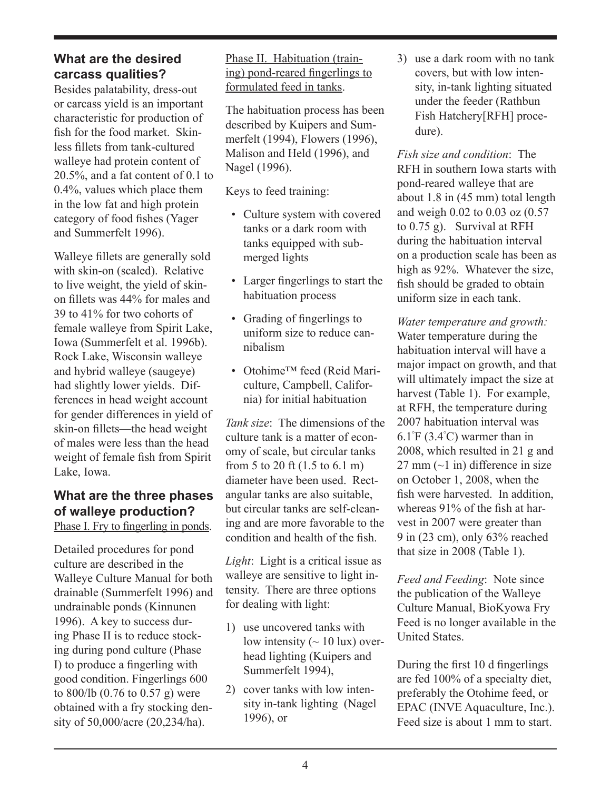#### **What are the desired carcass qualities?**

Besides palatability, dress-out or carcass yield is an important characteristic for production of fish for the food market. Skinless fillets from tank-cultured walleye had protein content of 20.5%, and a fat content of 0.1 to 0.4%, values which place them in the low fat and high protein category of food fishes (Yager and Summerfelt 1996).

Walleye fillets are generally sold with skin-on (scaled). Relative to live weight, the yield of skinon fillets was 44% for males and 39 to 41% for two cohorts of female walleye from Spirit Lake, Iowa (Summerfelt et al. 1996b). Rock Lake, Wisconsin walleye and hybrid walleye (saugeye) had slightly lower yields. Differences in head weight account for gender differences in yield of skin-on fillets—the head weight of males were less than the head weight of female fish from Spirit Lake, Iowa.

#### **What are the three phases of walleye production?** Phase I. Fry to fingerling in ponds.

Detailed procedures for pond culture are described in the Walleye Culture Manual for both drainable (Summerfelt 1996) and undrainable ponds (Kinnunen 1996). A key to success during Phase II is to reduce stocking during pond culture (Phase I) to produce a fingerling with good condition. Fingerlings 600 to 800/lb (0.76 to 0.57 g) were obtained with a fry stocking density of 50,000/acre (20,234/ha).

Phase II. Habituation (training) pond-reared fingerlings to formulated feed in tanks.

The habituation process has been described by Kuipers and Summerfelt (1994), Flowers (1996), Malison and Held (1996), and Nagel (1996).

Keys to feed training:

- Culture system with covered tanks or a dark room with tanks equipped with submerged lights
- Larger fingerlings to start the habituation process
- Grading of fingerlings to uniform size to reduce cannibalism
- Otohime™ feed (Reid Mariculture, Campbell, California) for initial habituation

*Tank size*: The dimensions of the culture tank is a matter of economy of scale, but circular tanks from 5 to 20 ft (1.5 to 6.1 m) diameter have been used. Rectangular tanks are also suitable, but circular tanks are self-cleaning and are more favorable to the condition and health of the fish.

*Light*: Light is a critical issue as walleye are sensitive to light intensity. There are three options for dealing with light:

- 1) use uncovered tanks with low intensity  $($  ~ 10 lux) overhead lighting (Kuipers and Summerfelt 1994),
- 2) cover tanks with low intensity in-tank lighting (Nagel 1996), or

3) use a dark room with no tank covers, but with low intensity, in-tank lighting situated under the feeder (Rathbun Fish Hatchery[RFH] procedure).

*Fish size and condition*: The RFH in southern Iowa starts with pond-reared walleye that are about 1.8 in (45 mm) total length and weigh 0.02 to 0.03 oz (0.57 to 0.75 g). Survival at RFH during the habituation interval on a production scale has been as high as 92%. Whatever the size, fish should be graded to obtain uniform size in each tank.

*Water temperature and growth:*  Water temperature during the habituation interval will have a major impact on growth, and that will ultimately impact the size at harvest (Table 1). For example, at RFH, the temperature during 2007 habituation interval was 6.1° F (3.4° C) warmer than in 2008, which resulted in 21 g and  $27 \text{ mm}$  ( $\sim$ 1 in) difference in size on October 1, 2008, when the fish were harvested. In addition, whereas 91% of the fish at harvest in 2007 were greater than 9 in (23 cm), only 63% reached that size in 2008 (Table 1).

*Feed and Feeding*: Note since the publication of the Walleye Culture Manual, BioKyowa Fry Feed is no longer available in the United States.

During the first 10 d fingerlings are fed 100% of a specialty diet, preferably the Otohime feed, or EPAC (INVE Aquaculture, Inc.). Feed size is about 1 mm to start.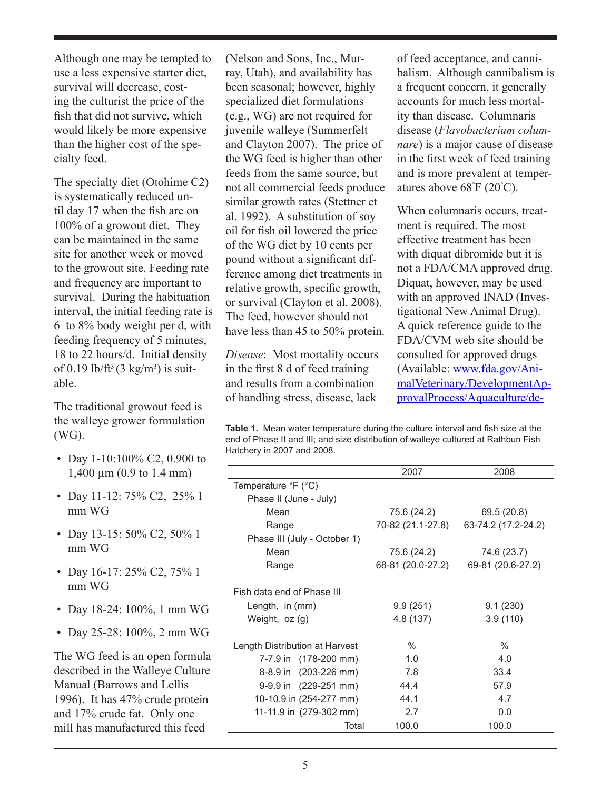Although one may be tempted to use a less expensive starter diet, survival will decrease, costing the culturist the price of the fish that did not survive, which would likely be more expensive than the higher cost of the specialty feed.

The specialty diet (Otohime C2) is systematically reduced until day 17 when the fish are on 100% of a growout diet. They can be maintained in the same site for another week or moved to the growout site. Feeding rate and frequency are important to survival. During the habituation interval, the initial feeding rate is 6 to 8% body weight per d, with feeding frequency of 5 minutes, 18 to 22 hours/d. Initial density of 0.19 lb/ft<sup>3</sup> (3 kg/m<sup>3</sup>) is suitable.

The traditional growout feed is the walleye grower formulation (WG).

- Day 1-10:100% C2, 0.900 to 1,400 µm (0.9 to 1.4 mm)
- Day 11-12: 75% C2, 25% 1 mm WG
- Day 13-15: 50% C2, 50% 1 mm WG
- Day 16-17: 25% C2, 75% 1 mm WG
- Day 18-24: 100%, 1 mm WG
- Day 25-28: 100%, 2 mm WG

The WG feed is an open formula described in the Walleye Culture Manual (Barrows and Lellis 1996). It has 47% crude protein and 17% crude fat. Only one mill has manufactured this feed

(Nelson and Sons, Inc., Murray, Utah), and availability has been seasonal; however, highly specialized diet formulations (e.g., WG) are not required for juvenile walleye (Summerfelt and Clayton 2007). The price of the WG feed is higher than other feeds from the same source, but not all commercial feeds produce similar growth rates (Stettner et al. 1992). A substitution of soy oil for fish oil lowered the price of the WG diet by 10 cents per pound without a significant difference among diet treatments in relative growth, specific growth, or survival (Clayton et al. 2008). The feed, however should not have less than 45 to 50% protein.

*Disease*: Most mortality occurs in the first 8 d of feed training and results from a combination of handling stress, disease, lack

of feed acceptance, and cannibalism. Although cannibalism is a frequent concern, it generally accounts for much less mortality than disease. Columnaris disease (*Flavobacterium columnare*) is a major cause of disease in the first week of feed training and is more prevalent at temperatures above 68° F (20° C).

When columnaris occurs, treatment is required. The most effective treatment has been with diquat dibromide but it is not a FDA/CMA approved drug. Diquat, however, may be used with an approved INAD (Investigational New Animal Drug). A quick reference guide to the FDA/CVM web site should be consulted for approved drugs (Available: [www.fda.gov/Ani](http://www.fda.gov/AnimalVeterinary/DevelopmentApprovalProcess/Aquaculture/default.htm)[malVeterinary/DevelopmentAp](http://www.fda.gov/AnimalVeterinary/DevelopmentApprovalProcess/Aquaculture/default.htm)[provalProcess/Aquaculture/de-](http://www.fda.gov/AnimalVeterinary/DevelopmentApprovalProcess/Aquaculture/default.htm)

**Table 1.** Mean water temperature during the culture interval and fish size at the end of Phase II and III; and size distribution of walleye cultured at Rathbun Fish Hatchery in 2007 and 2008.

|                                              | 2007              | 2008                |  |
|----------------------------------------------|-------------------|---------------------|--|
| Temperature ${}^{\circ}$ F ( ${}^{\circ}$ C) |                   |                     |  |
| Phase II (June - July)                       |                   |                     |  |
| Mean                                         | 75.6 (24.2)       | 69.5 (20.8)         |  |
| Range                                        | 70-82 (21.1-27.8) | 63-74.2 (17.2-24.2) |  |
| Phase III (July - October 1)                 |                   |                     |  |
| Mean                                         | 75.6 (24.2)       | 74.6 (23.7)         |  |
| Range                                        | 68-81 (20.0-27.2) | 69-81 (20.6-27.2)   |  |
| Fish data end of Phase III                   |                   |                     |  |
| Length, in $(mm)$                            | 9.9(251)          | 9.1(230)            |  |
| Weight, oz (g)                               | 4.8 (137)         | 3.9(110)            |  |
| Length Distribution at Harvest               | $\%$              | $\%$                |  |
| 7-7.9 in (178-200 mm)                        | 1.0               | 4.0                 |  |
| 8-8.9 in (203-226 mm)                        | 7.8               | 33.4                |  |
| $9-9.9$ in $(229-251$ mm)                    | 44.4              | 57.9                |  |
| 10-10.9 in (254-277 mm)                      | 44.1              | 47                  |  |
| 11-11.9 in (279-302 mm)                      | 2.7               | 0.0                 |  |
| Total                                        | 100.0             | 100.0               |  |
|                                              |                   |                     |  |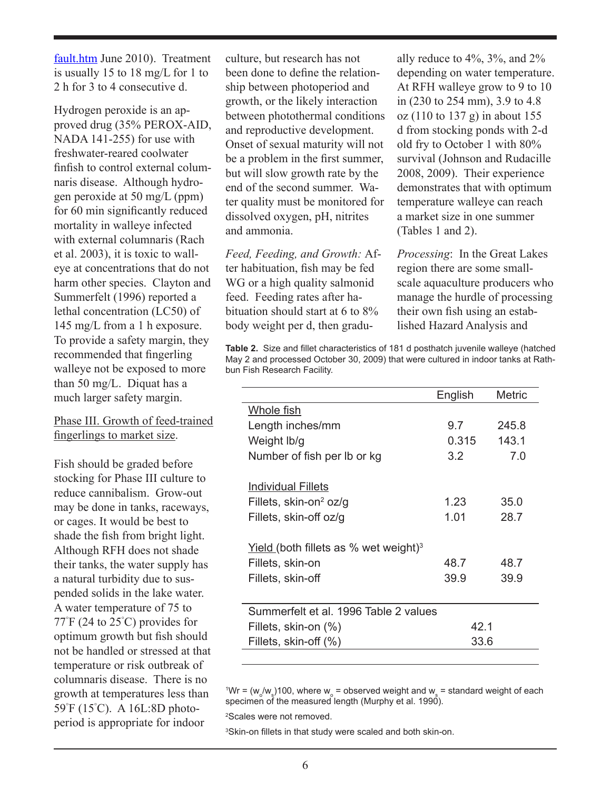[fault.htm](http://www.fda.gov/AnimalVeterinary/DevelopmentApprovalProcess/Aquaculture/default.htm) June 2010). Treatment is usually 15 to 18 mg/L for 1 to 2 h for 3 to 4 consecutive d.

Hydrogen peroxide is an approved drug (35% PEROX-AID, NADA 141-255) for use with freshwater-reared coolwater finfish to control external columnaris disease. Although hydrogen peroxide at 50 mg/L (ppm) for 60 min significantly reduced mortality in walleye infected with external columnaris (Rach et al. 2003), it is toxic to walleye at concentrations that do not harm other species. Clayton and Summerfelt (1996) reported a lethal concentration (LC50) of 145 mg/L from a 1 h exposure. To provide a safety margin, they recommended that fingerling walleye not be exposed to more than 50 mg/L. Diquat has a much larger safety margin.

#### Phase III. Growth of feed-trained fingerlings to market size.

Fish should be graded before stocking for Phase III culture to reduce cannibalism. Grow-out may be done in tanks, raceways, or cages. It would be best to shade the fish from bright light. Although RFH does not shade their tanks, the water supply has a natural turbidity due to suspended solids in the lake water. A water temperature of 75 to 77° F (24 to 25° C) provides for optimum growth but fish should not be handled or stressed at that temperature or risk outbreak of columnaris disease. There is no growth at temperatures less than 59° F (15° C). A 16L:8D photoperiod is appropriate for indoor

culture, but research has not been done to define the relationship between photoperiod and growth, or the likely interaction between photothermal conditions and reproductive development. Onset of sexual maturity will not be a problem in the first summer, but will slow growth rate by the end of the second summer. Water quality must be monitored for dissolved oxygen, pH, nitrites and ammonia.

*Feed, Feeding, and Growth:* After habituation, fish may be fed WG or a high quality salmonid feed. Feeding rates after habituation should start at 6 to 8% body weight per d, then gradually reduce to 4%, 3%, and 2% depending on water temperature. At RFH walleye grow to 9 to 10 in (230 to 254 mm), 3.9 to 4.8 oz (110 to 137 g) in about 155 d from stocking ponds with 2-d old fry to October 1 with 80% survival (Johnson and Rudacille 2008, 2009). Their experience demonstrates that with optimum temperature walleye can reach a market size in one summer (Tables 1 and 2).

*Processing*: In the Great Lakes region there are some smallscale aquaculture producers who manage the hurdle of processing their own fish using an established Hazard Analysis and

**Table 2.** Size and fillet characteristics of 181 d posthatch juvenile walleye (hatched May 2 and processed October 30, 2009) that were cultured in indoor tanks at Rathbun Fish Research Facility.

|                                                          | English | Metric |  |
|----------------------------------------------------------|---------|--------|--|
| <u>Whole fish</u>                                        |         |        |  |
| Length inches/mm                                         | 9.7     | 245.8  |  |
| Weight lb/g                                              | 0.315   | 143.1  |  |
| Number of fish per Ib or kg                              | 3.2     | 7.0    |  |
|                                                          |         |        |  |
| <b>Individual Fillets</b>                                |         |        |  |
| Fillets, skin-on <sup>2</sup> oz/g                       | 1.23    | 35.0   |  |
| Fillets, skin-off oz/g                                   | 1.01    | 28.7   |  |
|                                                          |         |        |  |
| <u>Yield</u> (both fillets as % wet weight) <sup>3</sup> |         |        |  |
| Fillets, skin-on                                         | 48.7    | 48.7   |  |
| Fillets, skin-off                                        | 39.9    | 39.9   |  |
|                                                          |         |        |  |
| Summerfelt et al. 1996 Table 2 values                    |         |        |  |
| Fillets, skin-on (%)                                     | 42 1    |        |  |
| Fillets, skin-off (%)                                    | 33.6    |        |  |
|                                                          |         |        |  |

 $W = (w_o/w_s)$ 100, where  $w_o$  = observed weight and  $w_s$  = standard weight of each specimen of the measured length (Murphy et al. 1990).

2 Scales were not removed.

3 Skin-on fillets in that study were scaled and both skin-on.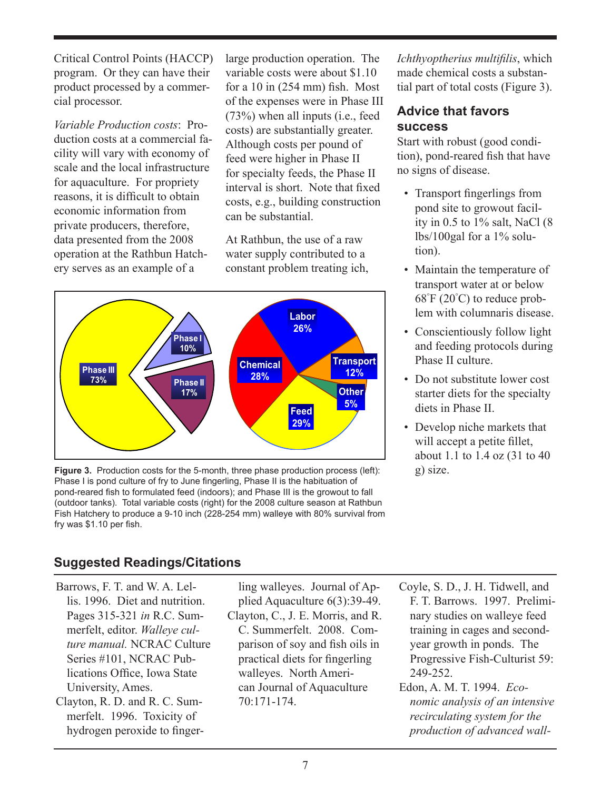Critical Control Points (HACCP) program. Or they can have their product processed by a commercial processor.

*Variable Production costs*: Production costs at a commercial facility will vary with economy of scale and the local infrastructure for aquaculture. For propriety reasons, it is difficult to obtain economic information from private producers, therefore, data presented from the 2008 operation at the Rathbun Hatchery serves as an example of a

large production operation. The variable costs were about \$1.10 for a 10 in (254 mm) fish. Most of the expenses were in Phase III (73%) when all inputs (i.e., feed costs) are substantially greater. Although costs per pound of feed were higher in Phase II for specialty feeds, the Phase II interval is short. Note that fixed costs, e.g., building construction can be substantial.

At Rathbun, the use of a raw water supply contributed to a constant problem treating ich,



**Figure 3.** Production costs for the 5-month, three phase production process (left): g) size. Phase I is pond culture of fry to June fingerling, Phase II is the habituation of pond-reared fish to formulated feed (indoors); and Phase III is the growout to fall (outdoor tanks). Total variable costs (right) for the 2008 culture season at Rathbun Fish Hatchery to produce a 9-10 inch (228-254 mm) walleye with 80% survival from fry was \$1.10 per fish.

*Ichthyoptherius multifilis*, which made chemical costs a substantial part of total costs (Figure 3).

## **Advice that favors success**

Start with robust (good condition), pond-reared fish that have no signs of disease.

- Transport fingerlings from pond site to growout facility in  $0.5$  to  $1\%$  salt, NaCl  $(8)$ lbs/100gal for a  $1\%$  solution).
- Maintain the temperature of transport water at or below 68° F (20° C) to reduce problem with columnaris disease.
- Conscientiously follow light and feeding protocols during Phase II culture.
- Do not substitute lower cost starter diets for the specialty diets in Phase II.
- Develop niche markets that will accept a petite fillet, about 1.1 to 1.4 oz (31 to 40

## **Suggested Readings/Citations**

- Barrows, F. T. and W. A. Lellis. 1996. Diet and nutrition. Pages 315-321 *in* R.C. Summerfelt, editor. *Walleye culture manual.* NCRAC Culture Series #101, NCRAC Publications Office, Iowa State University, Ames.
- Clayton, R. D. and R. C. Summerfelt. 1996. Toxicity of hydrogen peroxide to finger-

ling walleyes. Journal of Applied Aquaculture 6(3):39-49. Clayton, C., J. E. Morris, and R. C. Summerfelt. 2008. Comparison of soy and fish oils in practical diets for fingerling walleyes. North American Journal of Aquaculture 70:171-174.

- Coyle, S. D., J. H. Tidwell, and F. T. Barrows. 1997. Preliminary studies on walleye feed training in cages and secondyear growth in ponds. The Progressive Fish-Culturist 59: 249-252.
- Edon, A. M. T. 1994. *Economic analysis of an intensive recirculating system for the production of advanced wall-*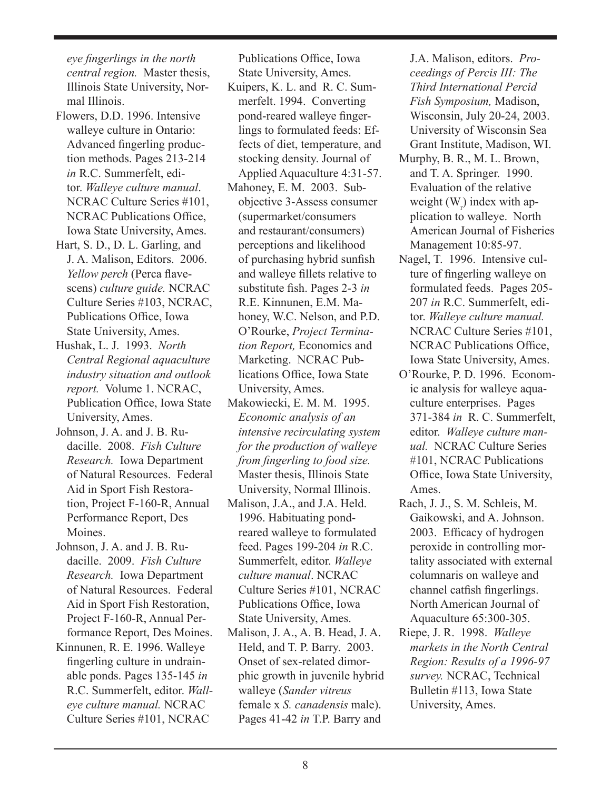*eye fingerlings in the north central region.* Master thesis, Illinois State University, Normal Illinois.

- Flowers, D.D. 1996. Intensive walleye culture in Ontario: Advanced fingerling production methods. Pages 213-214 *in* R.C. Summerfelt, editor. *Walleye culture manual*. NCRAC Culture Series #101, NCRAC Publications Office, Iowa State University, Ames.
- Hart, S. D., D. L. Garling, and J. A. Malison, Editors. 2006. *Yellow perch* (Perca flavescens) *culture guide.* NCRAC Culture Series #103, NCRAC, Publications Office, Iowa State University, Ames.
- Hushak, L. J. 1993. *North Central Regional aquaculture industry situation and outlook report.* Volume 1. NCRAC, Publication Office, Iowa State University, Ames.
- Johnson, J. A. and J. B. Rudacille. 2008. *Fish Culture Research.* Iowa Department of Natural Resources. Federal Aid in Sport Fish Restoration, Project F-160-R, Annual Performance Report, Des Moines.
- Johnson, J. A. and J. B. Rudacille. 2009. *Fish Culture Research.* Iowa Department of Natural Resources. Federal Aid in Sport Fish Restoration, Project F-160-R, Annual Performance Report, Des Moines.
- Kinnunen, R. E. 1996. Walleye fingerling culture in undrainable ponds. Pages 135-145 *in* R.C. Summerfelt, editor. *Walleye culture manual.* NCRAC Culture Series #101, NCRAC

Publications Office, Iowa State University, Ames.

- Kuipers, K. L. and R. C. Summerfelt. 1994. Converting pond-reared walleye fingerlings to formulated feeds: Effects of diet, temperature, and stocking density. Journal of Applied Aquaculture 4:31-57.
- Mahoney, E. M. 2003. Subobjective 3-Assess consumer (supermarket/consumers and restaurant/consumers) perceptions and likelihood of purchasing hybrid sunfish and walleye fillets relative to substitute fish. Pages 2-3 *in* R.E. Kinnunen, E.M. Mahoney, W.C. Nelson, and P.D. O'Rourke, *Project Termination Report,* Economics and Marketing. NCRAC Publications Office, Iowa State University, Ames.
- Makowiecki, E. M. M. 1995. *Economic analysis of an intensive recirculating system for the production of walleye from fingerling to food size.* Master thesis, Illinois State University, Normal Illinois.
- Malison, J.A., and J.A. Held. 1996. Habituating pondreared walleye to formulated feed. Pages 199-204 *in* R.C. Summerfelt, editor. *Walleye culture manual*. NCRAC Culture Series #101, NCRAC Publications Office, Iowa State University, Ames.
- Malison, J. A., A. B. Head, J. A. Held, and T. P. Barry. 2003. Onset of sex-related dimorphic growth in juvenile hybrid walleye (*Sander vitreus* female x *S. canadensis* male). Pages 41-42 *in* T.P. Barry and

J.A. Malison, editors. *Proceedings of Percis III: The Third International Percid Fish Symposium,* Madison, Wisconsin, July 20-24, 2003. University of Wisconsin Sea Grant Institute, Madison, WI.

- Murphy, B. R., M. L. Brown, and T. A. Springer. 1990. Evaluation of the relative weight  $(W<sub>r</sub>)$  index with application to walleye. North American Journal of Fisheries Management 10:85-97.
- Nagel, T. 1996. Intensive culture of fingerling walleye on formulated feeds. Pages 205- 207 *in* R.C. Summerfelt, editor. *Walleye culture manual.*  NCRAC Culture Series #101, NCRAC Publications Office, Iowa State University, Ames.
- O'Rourke, P. D. 1996. Economic analysis for walleye aquaculture enterprises. Pages 371-384 *in* R. C. Summerfelt, editor. *Walleye culture manual.* NCRAC Culture Series #101, NCRAC Publications Office, Iowa State University, Ames.
- Rach, J. J., S. M. Schleis, M. Gaikowski, and A. Johnson. 2003. Efficacy of hydrogen peroxide in controlling mortality associated with external columnaris on walleye and channel catfish fingerlings. North American Journal of Aquaculture 65:300-305.
- Riepe, J. R. 1998. *Walleye markets in the North Central Region: Results of a 1996-97 survey.* NCRAC, Technical Bulletin #113, Iowa State University, Ames.